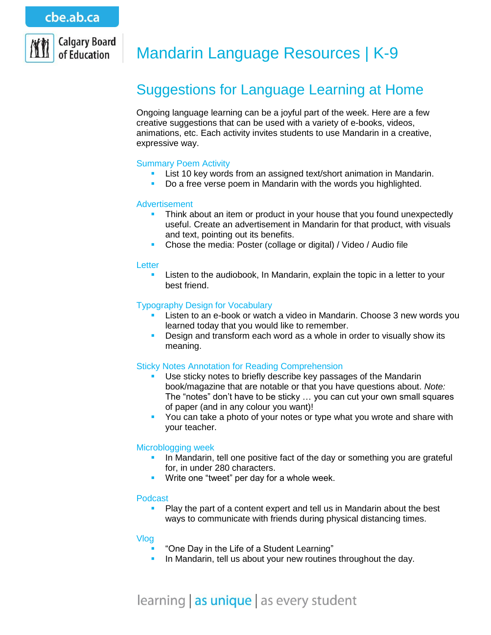

# Mandarin Language Resources | K-9

# Suggestions for Language Learning at Home

Ongoing language learning can be a joyful part of the week. Here are a few creative suggestions that can be used with a variety of e-books, videos, animations, etc. Each activity invites students to use Mandarin in a creative, expressive way.

## Summary Poem Activity

- **List 10 key words from an assigned text/short animation in Mandarin.**
- Do a free verse poem in Mandarin with the words you highlighted.

## Advertisement

- Think about an item or product in your house that you found unexpectedly useful. Create an advertisement in Mandarin for that product, with visuals and text, pointing out its benefits.
- Chose the media: Poster (collage or digital) / Video / Audio file

#### **Letter**

**EXECT** Listen to the audiobook, In Mandarin, explain the topic in a letter to your best friend.

## Typography Design for Vocabulary

- Listen to an e-book or watch a video in Mandarin. Choose 3 new words you learned today that you would like to remember.
- Design and transform each word as a whole in order to visually show its meaning.

## Sticky Notes Annotation for Reading Comprehension

- Use sticky notes to briefly describe key passages of the Mandarin book/magazine that are notable or that you have questions about. *Note:* The "notes" don't have to be sticky … you can cut your own small squares of paper (and in any colour you want)!
- You can take a photo of your notes or type what you wrote and share with your teacher.

## Microblogging week

- In Mandarin, tell one positive fact of the day or something you are grateful for, in under 280 characters.
- **Write one "tweet" per day for a whole week.**

#### Podcast

 Play the part of a content expert and tell us in Mandarin about the best ways to communicate with friends during physical distancing times.

#### Vlog

- "One Day in the Life of a Student Learning"
- In Mandarin, tell us about your new routines throughout the day.